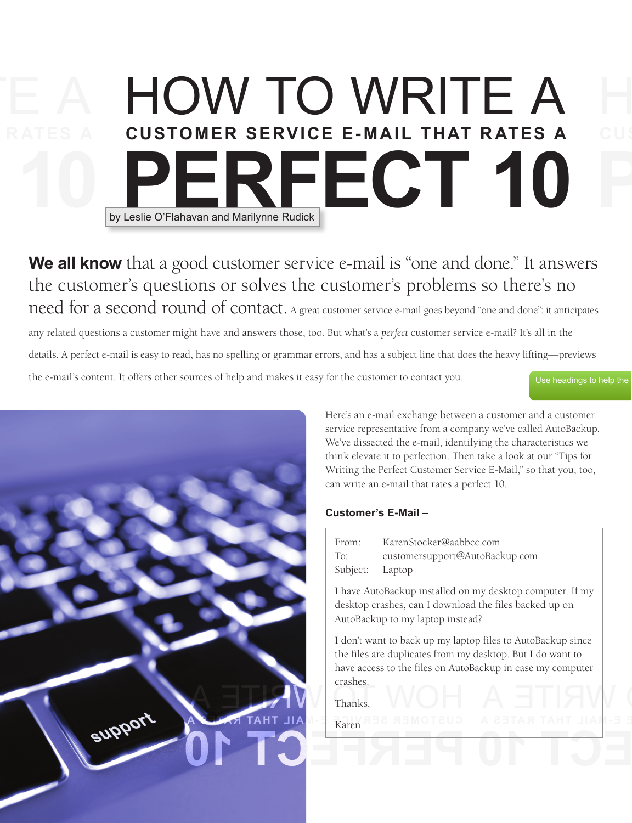# HOW TO WRITE A  **CUSTOMER SERVICE E- MAIL THAT R ATES A PECT 10** by Leslie O'Flahavan and Marilynne Rudick

**We all know** that a good customer service e-mail is "one and done." It answers the customer's questions or solves the customer's problems so there's no need for a second round of contact. A great customer service e-mail goes beyond "one and done": it anticipates

any related questions a customer might have and answers those, too. But what's a *perfect* customer service e-mail? It's all in the details. A perfect e-mail is easy to read, has no spelling or grammar errors, and has a subject line that does the heavy lifting—previews the e-mail's content. It offers other sources of help and makes it easy for the customer to contact you. Use headings to help the



Here's an e-mail exchange between a customer and a customer service representative from a company we've called AutoBackup. We've dissected the e-mail, identifying the characteristics we think elevate it to perfection. Then take a look at our "Tips for Writing the Perfect Customer Service E-Mail," so that you, too, can write an e-mail that rates a perfect 10.

# **Customer's E-Mail –**

| From:           | KarenStocker@aabbcc.com        |
|-----------------|--------------------------------|
| To:             | customersupport@AutoBackup.com |
| Subject: Laptop |                                |

 I have AutoBackup installed on my desktop computer. If my desktop crashes, can I download the files backed up on AutoBackup to my laptop instead?

**A ETIAW**  I don't want to back up my laptop files to AutoBackup since the files are duplicates from my desktop. But I do want to have access to the files on AutoBackup in case my computer crashes.

 **CUSTOMER SERV ICE E- M A IL THAT R ATES A**

**PERFECT 10**

Thanks,

Karen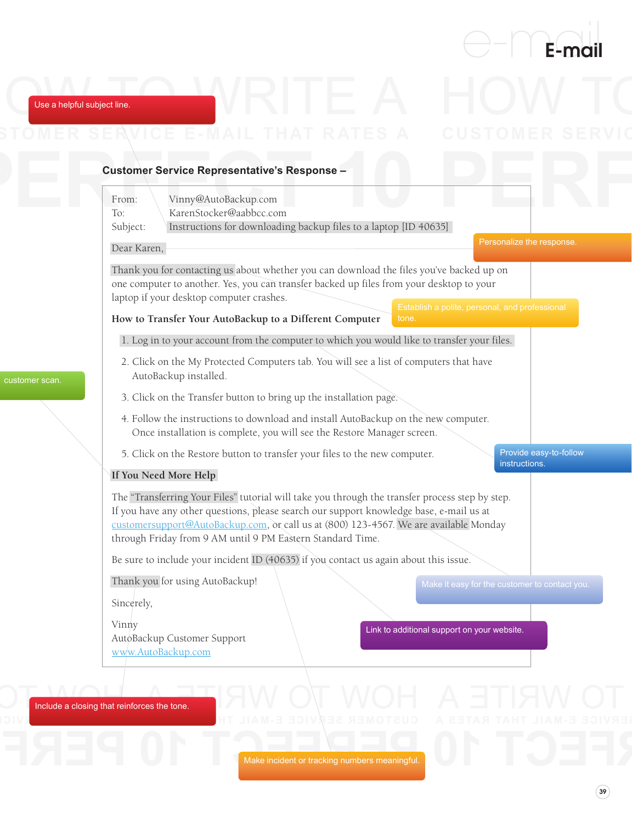

Use a helpful subject line.

Use a helpful subject line.



customer scan.